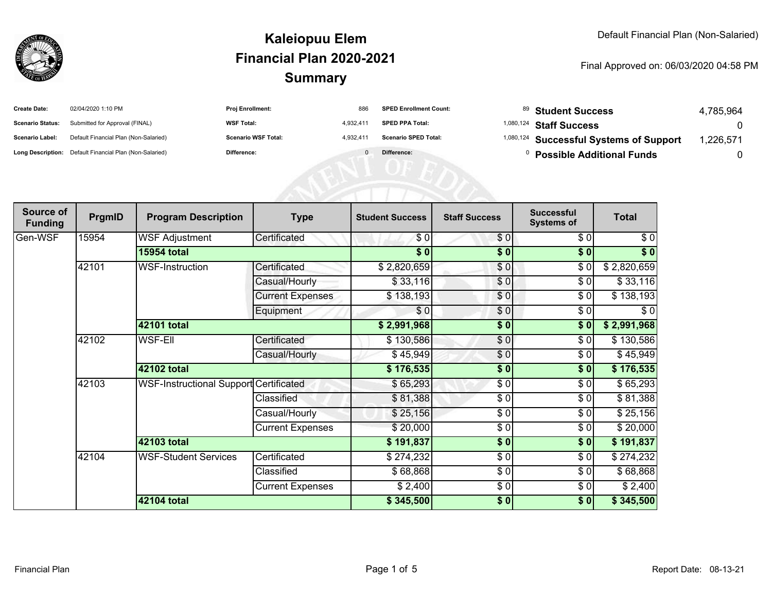

| <b>Create Date:</b>     | 02/04/2020 1:10 PM                                      | <b>Proj Enrollment:</b>    | 886       | <b>SPED Enrollment Count:</b> | 89 Student Success                                 | 4.785.964 |
|-------------------------|---------------------------------------------------------|----------------------------|-----------|-------------------------------|----------------------------------------------------|-----------|
| <b>Scenario Status:</b> | Submitted for Approval (FINAL)                          | <b>WSF Total:</b>          | 4.932.411 | <b>SPED PPA Total:</b>        | <sup>1,080,124</sup> Staff Success                 |           |
| <b>Scenario Label:</b>  | Default Financial Plan (Non-Salaried)                   | <b>Scenario WSF Total:</b> | 4,932,411 | <b>Scenario SPED Total:</b>   | <sup>1,080,124</sup> Successful Systems of Support | .226,571  |
|                         | Long Description: Default Financial Plan (Non-Salaried) | <b>Difference:</b>         |           | Difference:                   | <b>Possible Additional Funds</b>                   |           |

| Source of<br><b>Funding</b> | PrgmID | <b>Program Description</b>             | <b>Type</b>             | <b>Student Success</b>  | <b>Staff Success</b> | <b>Successful</b><br><b>Systems of</b> | <b>Total</b>         |
|-----------------------------|--------|----------------------------------------|-------------------------|-------------------------|----------------------|----------------------------------------|----------------------|
| Gen-WSF                     | 15954  | <b>WSF Adjustment</b>                  | Certificated            | \$0                     | \$0                  | \$0                                    | \$0                  |
|                             |        | <b>15954 total</b>                     |                         | \$0                     | \$0                  | \$0                                    | \$0                  |
|                             | 42101  | <b>WSF-Instruction</b>                 | Certificated            | \$2,820,659             | \$0                  | \$0                                    | \$2,820,659          |
|                             |        |                                        | Casual/Hourly           | \$33,116                | \$0                  | \$0                                    | \$33,116             |
|                             |        |                                        | <b>Current Expenses</b> | \$138,193               | \$0                  | \$0                                    | \$138,193            |
|                             |        |                                        | Equipment               | \$0                     | \$0                  | \$0                                    | \$0                  |
|                             |        | 42101 total                            |                         | \$2,991,968             | $\sqrt{6}$           | \$0                                    | \$2,991,968          |
|                             | 42102  | <b>WSF-EII</b>                         | Certificated            | \$130,586               | \$0                  | \$0                                    | $\overline{$}30,586$ |
|                             |        |                                        | Casual/Hourly           | \$45,949                | $\frac{6}{9}$        | \$0                                    | \$45,949             |
|                             |        | 42102 total                            |                         | \$176,535               | \$0                  | \$0                                    | \$176,535            |
|                             | 42103  | WSF-Instructional Support Certificated |                         | \$65,293                | \$0                  | \$0                                    | \$65,293             |
|                             |        |                                        | Classified              | \$81,388                | \$0                  | \$0                                    | \$81,388             |
|                             |        |                                        | Casual/Hourly           | \$25,156                | \$0                  | \$0                                    | \$25,156             |
|                             |        |                                        |                         | <b>Current Expenses</b> | \$20,000             | \$0                                    | \$0                  |
|                             |        | 42103 total                            |                         | \$191,837               | \$0                  | \$0                                    | \$191,837            |
|                             | 42104  | <b>WSF-Student Services</b>            | Certificated            | \$274,232               | $\sqrt{6}$           | \$0                                    | \$274,232            |
|                             |        |                                        | Classified              | \$68,868                | \$0                  | \$0                                    | \$68,868             |
|                             |        |                                        | <b>Current Expenses</b> | \$2,400                 | $\frac{3}{6}$        | \$0                                    | \$2,400              |
|                             |        | 42104 total                            |                         | \$345,500               | \$0                  | \$0                                    | \$345,500            |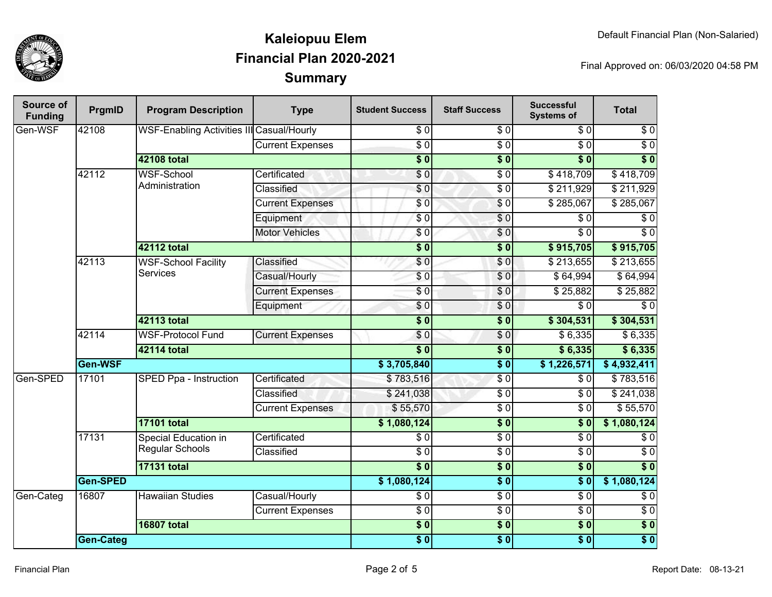

| Source of<br><b>Funding</b> | PrgmID             | <b>Program Description</b>                | <b>Type</b>             | <b>Student Success</b> | <b>Staff Success</b>        | <b>Successful</b><br><b>Systems of</b> | <b>Total</b>     |
|-----------------------------|--------------------|-------------------------------------------|-------------------------|------------------------|-----------------------------|----------------------------------------|------------------|
| Gen-WSF                     | 42108              | WSF-Enabling Activities III Casual/Hourly |                         | \$0                    | $\overline{S}$ <sub>0</sub> | $\overline{\$0}$                       | $\overline{\$0}$ |
|                             |                    |                                           | <b>Current Expenses</b> | $\overline{S}0$        | $\overline{\$0}$            | $\overline{S}0$                        | $\overline{30}$  |
|                             |                    | <b>42108 total</b>                        |                         | $\overline{\$0}$       | $\overline{\$0}$            | $s$ <sub>0</sub>                       | $\overline{\$}0$ |
|                             | 42112              | <b>WSF-School</b><br>Administration       | Certificated            | \$0                    | $\overline{\$0}$            | \$418,709                              | \$418,709        |
|                             |                    |                                           | Classified              | \$0                    | $\overline{\$0}$            | \$211,929                              | \$211,929        |
|                             |                    |                                           | <b>Current Expenses</b> | \$0                    | \$0                         | \$285,067                              | \$285,067        |
|                             |                    |                                           | Equipment               | $\sqrt{6}$             | $\overline{S}0$             | $\overline{\$0}$                       | $\overline{30}$  |
|                             |                    |                                           | <b>Motor Vehicles</b>   | \$0                    | \$0                         | \$0                                    | $\overline{\$0}$ |
|                             |                    | <b>42112 total</b>                        |                         | $\overline{\$0}$       | $\overline{\$0}$            | \$915,705                              | \$915,705        |
|                             | 42113              | <b>WSF-School Facility</b>                | Classified              | $\overline{\$0}$       | \$0                         | \$213,655                              | \$213,655        |
|                             |                    | <b>Services</b>                           | Casual/Hourly           | \$0                    | \$0                         | \$64,994                               | \$64,994         |
|                             |                    |                                           | <b>Current Expenses</b> | $\overline{\$0}$       | \$0                         | \$25,882                               | \$25,882         |
|                             |                    |                                           | Equipment               | \$0                    | \$0                         | \$0                                    | $\overline{\$0}$ |
|                             |                    | <b>42113 total</b>                        |                         | $\overline{\$0}$       | $\overline{\$0}$            | \$304,531                              | \$304,531        |
|                             | 42114              | <b>WSF-Protocol Fund</b>                  | <b>Current Expenses</b> | \$0                    | \$0                         | \$6,335                                | \$6,335          |
|                             | <b>42114 total</b> |                                           | $\overline{\$0}$        | $\overline{\$0}$       | $\sqrt{$6,335}$             | \$6,335                                |                  |
|                             | Gen-WSF            |                                           |                         | \$3,705,840            | $\overline{\$0}$            | \$1,226,571                            | \$4,932,411      |
| Gen-SPED                    | 17101              | SPED Ppa - Instruction                    | Certificated            | \$783,516              | $\overline{\$0}$            | $\overline{\$0}$                       | \$783,516        |
|                             |                    |                                           | Classified              | \$241,038              | $\overline{50}$             | $\overline{\$0}$                       | \$241,038        |
|                             |                    |                                           | <b>Current Expenses</b> | \$55,570               | $\overline{\$0}$            | $\overline{30}$                        | \$55,570         |
|                             |                    | <b>17101 total</b>                        |                         | \$1,080,124            | $\overline{\$0}$            | $\overline{\$0}$                       | \$1,080,124      |
|                             | 17131              | Special Education in                      | Certificated            | \$0                    | $\overline{30}$             | $\overline{S}0$                        | $\sqrt{6}$       |
|                             |                    | <b>Regular Schools</b>                    | Classified              | $\overline{50}$        | $\overline{30}$             | $\overline{\$0}$                       | $\overline{30}$  |
|                             |                    | <b>17131 total</b>                        |                         | $\overline{\bullet}$ 0 | $\overline{\$0}$            | $\overline{\$0}$                       | $\overline{\$}0$ |
|                             | <b>Gen-SPED</b>    |                                           | \$1,080,124             | $\overline{\$0}$       | $\overline{\$0}$            | \$1,080,124                            |                  |
| Gen-Categ                   | 16807              | <b>Hawaiian Studies</b>                   | Casual/Hourly           | $\overline{\$0}$       | $\overline{30}$             | $\overline{S}0$                        | $\sqrt{6}$       |
|                             |                    |                                           | <b>Current Expenses</b> | $\overline{50}$        | $\overline{30}$             | $\overline{30}$                        | $\overline{30}$  |
|                             |                    | <b>16807 total</b>                        |                         | $\overline{\$0}$       | $\overline{\$0}$            | $\overline{\$0}$                       | $\overline{\$}0$ |
|                             | <b>Gen-Categ</b>   |                                           |                         | $\overline{\$0}$       | $\overline{\$0}$            | $\overline{\$0}$                       | $\overline{\$0}$ |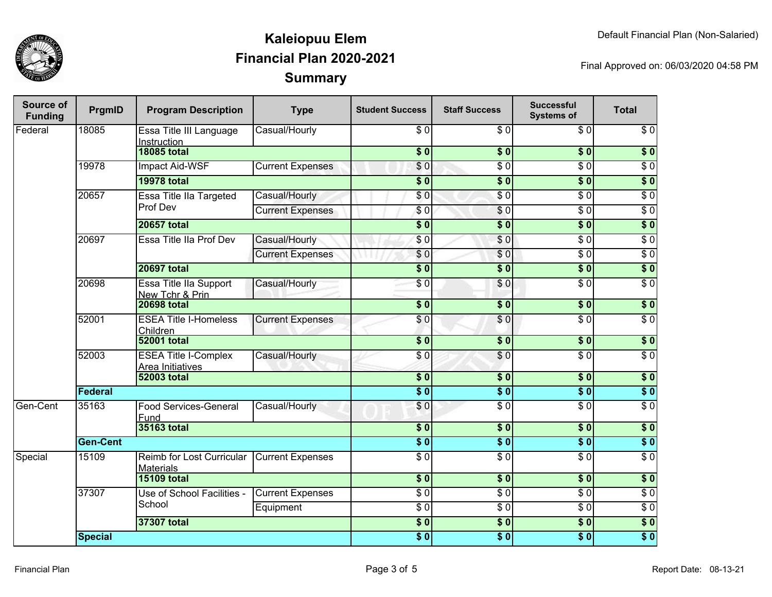

| Source of<br><b>Funding</b> | PrgmID          | <b>Program Description</b>                      | <b>Type</b>             | <b>Student Success</b> | <b>Staff Success</b>   | <b>Successful</b><br><b>Systems of</b> | <b>Total</b>     |
|-----------------------------|-----------------|-------------------------------------------------|-------------------------|------------------------|------------------------|----------------------------------------|------------------|
| Federal                     | 18085           | Essa Title III Language<br>Instruction          | Casual/Hourly           | $\overline{\$0}$       | $\overline{\$0}$       | \$0                                    | $\sqrt{6}$       |
|                             |                 | <b>18085 total</b>                              |                         | $\overline{\$0}$       | $\overline{\$0}$       | $\overline{\$0}$                       | \$0              |
|                             | 19978           | <b>Impact Aid-WSF</b>                           | <b>Current Expenses</b> | \$0                    | $\overline{\$0}$       | $\overline{\$0}$                       | $\sqrt{6}$       |
|                             |                 | <b>19978 total</b>                              |                         | $\overline{\$0}$       | $\overline{\$0}$       | $\overline{\$0}$                       | \$0              |
|                             | 20657           | Essa Title IIa Targeted                         | Casual/Hourly           | $\sqrt{0}$             | $\overline{\$0}$       | $\overline{\$0}$                       | $\sqrt{6}$       |
|                             |                 | Prof Dev                                        | <b>Current Expenses</b> | $\overline{\$0}$       | $\overline{\$0}$       | $\overline{\$0}$                       | \$0              |
|                             |                 | <b>20657 total</b>                              |                         | $\overline{\$0}$       | $\overline{\$0}$       | s <sub>0</sub>                         | $\frac{1}{2}$    |
|                             | 20697           | Essa Title IIa Prof Dev                         | Casual/Hourly           | $\overline{\$0}$       | $\sqrt{0}$             | $\overline{\$0}$                       | $\overline{\$0}$ |
|                             |                 |                                                 | <b>Current Expenses</b> | \$0                    | $\overline{\$0}$       | $\overline{\$0}$                       | $\overline{\$0}$ |
|                             |                 | <b>20697 total</b>                              |                         | $\overline{\$}0$       | $\overline{\$0}$       | $\overline{\$0}$                       | \$0              |
|                             | 20698           | Essa Title IIa Support<br>New Tchr & Prin       | Casual/Hourly           | $\overline{S}0$        | $\sqrt{6}$             | $\overline{\$0}$                       | $\overline{\$0}$ |
|                             |                 | <b>20698 total</b>                              |                         | $\overline{\$0}$       | $\overline{\$0}$       | $\sqrt{6}$                             | $\frac{1}{2}$    |
|                             | 52001           | <b>ESEA Title I-Homeless</b><br>Children        | <b>Current Expenses</b> | \$0                    | $\sqrt{6}$             | $\overline{\$0}$                       | $\overline{\$0}$ |
|                             |                 | <b>52001 total</b>                              |                         | $\overline{\$0}$       | $\overline{\bullet}$ 0 | $\overline{\$0}$                       | $\overline{\$0}$ |
|                             | 52003           | <b>ESEA Title I-Complex</b><br>Area Initiatives | Casual/Hourly           | $\overline{S}0$        | $\overline{\$0}$       | $\overline{\$0}$                       | $\overline{\$0}$ |
|                             |                 | <b>52003 total</b>                              |                         | $\overline{\$0}$       | $\overline{\$0}$       | $\overline{\$0}$                       | $\frac{1}{2}$    |
|                             | Federal         |                                                 | $\overline{\$0}$        | $\overline{\$0}$       | $\overline{\$0}$       | $\overline{\$0}$                       |                  |
| Gen-Cent                    | 35163           | <b>Food Services-General</b><br>Fund            | Casual/Hourly           | $\sqrt{6}$             | $\overline{\$0}$       | $\overline{\$0}$                       | $\overline{\$0}$ |
|                             |                 | 35163 total                                     |                         | $\overline{\$0}$       | \$0                    | s <sub>0</sub>                         | \$0              |
|                             | <b>Gen-Cent</b> |                                                 |                         | $\overline{\$0}$       | $\overline{\$0}$       | $\overline{\$0}$                       | $\overline{\$0}$ |
| Special                     | 15109           | Reimb for Lost Curricular<br><b>Materials</b>   | <b>Current Expenses</b> | $\overline{S}0$        | $\overline{S}0$        | $\overline{\$0}$                       | \$0              |
|                             |                 | <b>15109 total</b>                              |                         | $\overline{\$0}$       | $\overline{\$0}$       | $\overline{\$0}$                       | $\overline{\$0}$ |
|                             | 37307           | Use of School Facilities -<br>School            | <b>Current Expenses</b> | $\overline{30}$        | $\overline{30}$        | $\overline{\$0}$                       | \$0              |
|                             |                 |                                                 | Equipment               | $\overline{30}$        | $\overline{30}$        | $\overline{\$0}$                       | $\sqrt{6}$       |
|                             |                 | 37307 total                                     |                         | $\overline{\$0}$       | $\overline{\$0}$       | $\overline{\$0}$                       | $\overline{\$0}$ |
|                             | <b>Special</b>  |                                                 |                         | $\overline{\$0}$       | $\overline{\$0}$       | $\overline{\$0}$                       | $\overline{\$0}$ |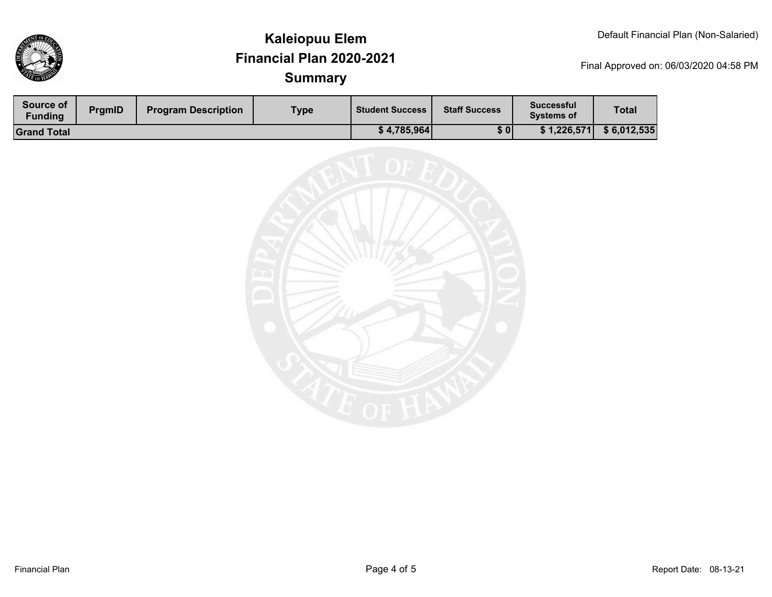

| Source of<br>Funding | <b>PrgmID</b> | <b>Program Description</b> | <b>Type</b> | <b>Student Success</b> | <b>Staff Success</b> | <b>Successful</b><br><b>Systems of</b> | <b>Total</b> |
|----------------------|---------------|----------------------------|-------------|------------------------|----------------------|----------------------------------------|--------------|
| <b>Grand Total</b>   |               |                            |             | \$4,785,964]           | \$0                  | \$1,226,571                            | \$6,012,535  |